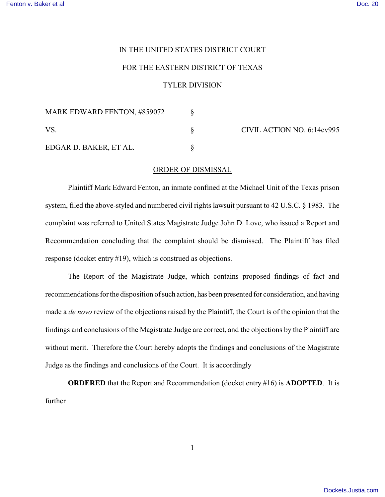## IN THE UNITED STATES DISTRICT COURT

## FOR THE EASTERN DISTRICT OF TEXAS

## TYLER DIVISION

| <b>MARK EDWARD FENTON, #859072</b> |  | CIVIL ACTION NO. 6:14cv995 |
|------------------------------------|--|----------------------------|
| VS.                                |  |                            |
| EDGAR D. BAKER, ET AL.             |  |                            |

## ORDER OF DISMISSAL

Plaintiff Mark Edward Fenton, an inmate confined at the Michael Unit of the Texas prison system, filed the above-styled and numbered civil rights lawsuit pursuant to 42 U.S.C. § 1983. The complaint was referred to United States Magistrate Judge John D. Love, who issued a Report and Recommendation concluding that the complaint should be dismissed. The Plaintiff has filed response (docket entry #19), which is construed as objections.

The Report of the Magistrate Judge, which contains proposed findings of fact and recommendations for the disposition of such action, has been presented for consideration, and having made a *de novo* review of the objections raised by the Plaintiff, the Court is of the opinion that the findings and conclusions of the Magistrate Judge are correct, and the objections by the Plaintiff are without merit. Therefore the Court hereby adopts the findings and conclusions of the Magistrate Judge as the findings and conclusions of the Court. It is accordingly

**ORDERED** that the Report and Recommendation (docket entry #16) is **ADOPTED**. It is further